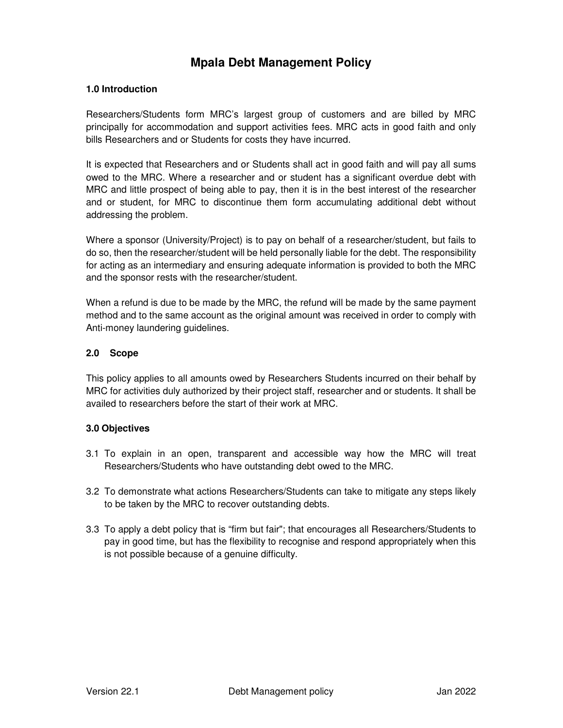# **Mpala Debt Management Policy**

## **1.0 Introduction**

Researchers/Students form MRC's largest group of customers and are billed by MRC principally for accommodation and support activities fees. MRC acts in good faith and only bills Researchers and or Students for costs they have incurred.

It is expected that Researchers and or Students shall act in good faith and will pay all sums owed to the MRC. Where a researcher and or student has a significant overdue debt with MRC and little prospect of being able to pay, then it is in the best interest of the researcher and or student, for MRC to discontinue them form accumulating additional debt without addressing the problem.

Where a sponsor (University/Project) is to pay on behalf of a researcher/student, but fails to do so, then the researcher/student will be held personally liable for the debt. The responsibility for acting as an intermediary and ensuring adequate information is provided to both the MRC and the sponsor rests with the researcher/student.

When a refund is due to be made by the MRC, the refund will be made by the same payment method and to the same account as the original amount was received in order to comply with Anti-money laundering guidelines.

#### **2.0 Scope**

This policy applies to all amounts owed by Researchers Students incurred on their behalf by MRC for activities duly authorized by their project staff, researcher and or students. It shall be availed to researchers before the start of their work at MRC.

#### **3.0 Objectives**

- 3.1 To explain in an open, transparent and accessible way how the MRC will treat Researchers/Students who have outstanding debt owed to the MRC.
- 3.2 To demonstrate what actions Researchers/Students can take to mitigate any steps likely to be taken by the MRC to recover outstanding debts.
- 3.3 To apply a debt policy that is "firm but fair"; that encourages all Researchers/Students to pay in good time, but has the flexibility to recognise and respond appropriately when this is not possible because of a genuine difficulty.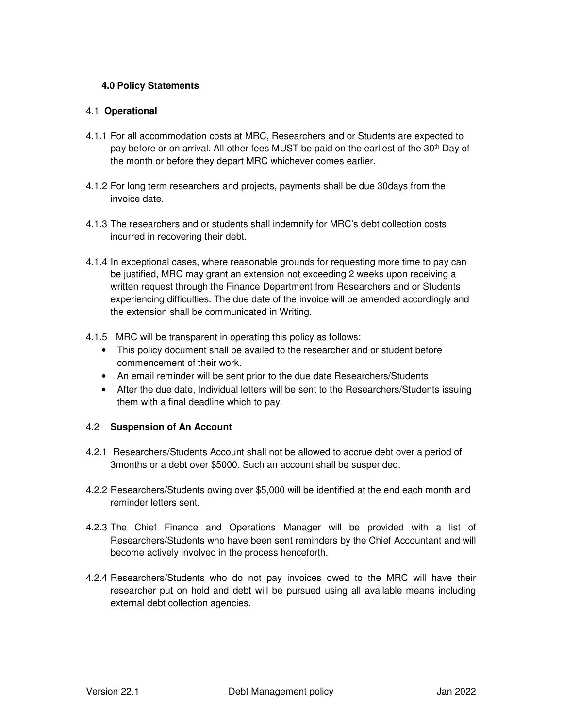## **4.0 Policy Statements**

#### 4.1 **Operational**

- 4.1.1 For all accommodation costs at MRC, Researchers and or Students are expected to pay before or on arrival. All other fees MUST be paid on the earliest of the 30<sup>th</sup> Day of the month or before they depart MRC whichever comes earlier.
- 4.1.2 For long term researchers and projects, payments shall be due 30days from the invoice date.
- 4.1.3 The researchers and or students shall indemnify for MRC's debt collection costs incurred in recovering their debt.
- 4.1.4 In exceptional cases, where reasonable grounds for requesting more time to pay can be justified, MRC may grant an extension not exceeding 2 weeks upon receiving a written request through the Finance Department from Researchers and or Students experiencing difficulties. The due date of the invoice will be amended accordingly and the extension shall be communicated in Writing.
- 4.1.5 MRC will be transparent in operating this policy as follows:
	- This policy document shall be availed to the researcher and or student before commencement of their work.
	- An email reminder will be sent prior to the due date Researchers/Students
	- After the due date, Individual letters will be sent to the Researchers/Students issuing them with a final deadline which to pay.

#### 4.2 **Suspension of An Account**

- 4.2.1 Researchers/Students Account shall not be allowed to accrue debt over a period of 3months or a debt over \$5000. Such an account shall be suspended.
- 4.2.2 Researchers/Students owing over \$5,000 will be identified at the end each month and reminder letters sent.
- 4.2.3 The Chief Finance and Operations Manager will be provided with a list of Researchers/Students who have been sent reminders by the Chief Accountant and will become actively involved in the process henceforth.
- 4.2.4 Researchers/Students who do not pay invoices owed to the MRC will have their researcher put on hold and debt will be pursued using all available means including external debt collection agencies.